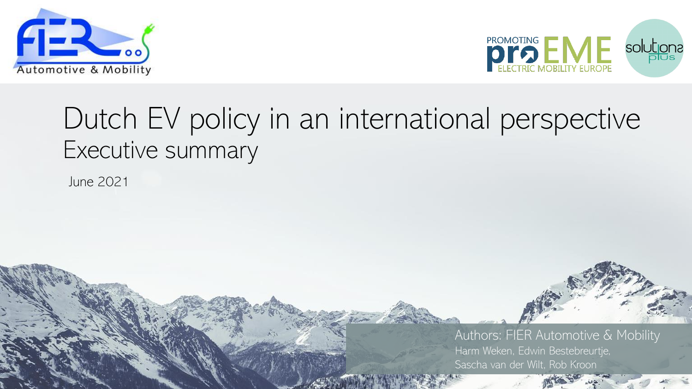



# Dutch EV policy in an international perspective Executive summary

June 2021

Authors: FIER Automotive & Mobility Harm Weken, Edwin Bestebreurtje, Sascha van der Wilt, Rob Kroon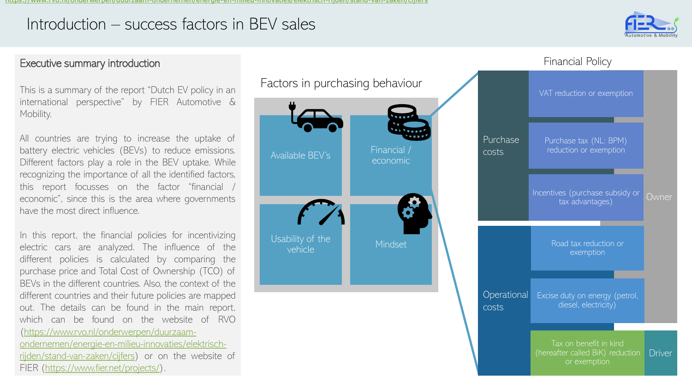#### <https://www.rvo.nl/onderwerpen/duurzaam-ondernemen/energie-en-milieu-innovaties/elektrisch-rijden/stand-van-zaken/cijfers>

### Introduction – success factors in BEV sales



#### Executive summary introduction

This is a summary of the report "Dutch EV policy in an international perspective" by FIER Automotive & Mobility.

All countries are trying to increase the uptake of battery electric vehicles (BEVs) to reduce emissions. Different factors play a role in the BEV uptake. While recognizing the importance of all the identified factors, this report focusses on the factor "financial / economic", since this is the area where governments have the most direct influence.

In this report, the financial policies for incentivizing electric cars are analyzed. The influence of the different policies is calculated by comparing the purchase price and Total Cost of Ownership (TCO) of BEVs in the different countries. Also, the context of the different countries and their future policies are mapped out. The details can be found in the main report, which can be found on the website of RVO (https://www.rvo.nl/onderwerpen/duurzaam[ondernemen/energie-en-milieu-innovaties/elektrisch](https://www.rvo.nl/onderwerpen/duurzaam-ondernemen/energie-en-milieu-innovaties/elektrisch-rijden/stand-van-zaken/cijfers)rijden/stand-van-zaken/cijfers) or on the website of FIER (<https://www.fier.net/projects/>).

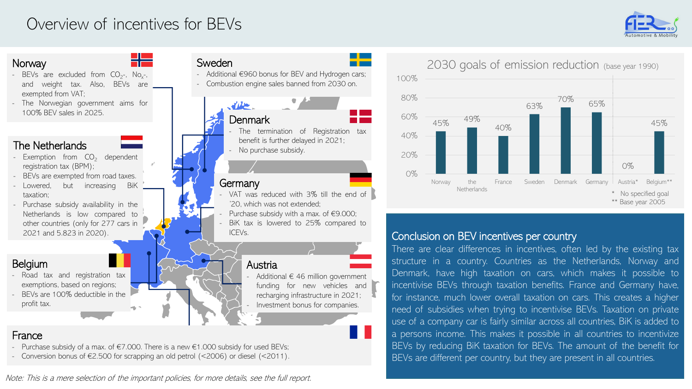### Overview of incentives for BEVs

H Z



#### **Norway**

- BEVs are excluded from  $CO_{2}$ -, No<sub>x</sub>-, and weight tax. Also, BEVs are exempted from VAT;
- The Norwegian government aims for 100% BEV sales in 2025.

### The Netherlands

- Exemption from  $CO<sub>2</sub>$  dependent registration tax (BPM);
- BEVs are exempted from road taxes.
- Lowered, but increasing BiK taxation;
- Purchase subsidy availability in the Netherlands is low compared to other countries (only for 277 cars in 2021 and 5.823 in 2020).

### Belgium

- Road tax and registration tax exemptions, based on regions;
- BEVs are 100% deductible in the profit tax.

### Sweden

- Additional €960 bonus for BEV and Hydrogen cars;
- Combustion engine sales banned from 2030 on.



- The termination of Registration tax benefit is further delayed in 2021;
- No purchase subsidy.

### **Germany**

- VAT was reduced with 3% till the end of '20, which was not extended;
- Purchase subsidy with a max. of  $€9.000$ ;
- BiK tax is lowered to 25% compared to ICEVs.

#### Austria

- Additional  $\in$  46 million government funding for new vehicles and recharging infrastructure in 2021; Investment bonus for companies.

### France

- Purchase subsidy of a max. of  $\epsilon$ 7.000. There is a new  $\epsilon$ 1.000 subsidy for used BEVs;
- Conversion bonus of €2.500 for scrapping an old petrol (<2006) or diesel (<2011).

Note: This is a mere selection of the important policies, for more details, see the full report.



### Conclusion on BEV incentives per country

There are clear differences in incentives, often led by the existing tax structure in a country. Countries as the Netherlands, Norway and Denmark, have high taxation on cars, which makes it possible to incentivise BEVs through taxation benefits. France and Germany have, for instance, much lower overall taxation on cars. This creates a higher need of subsidies when trying to incentivise BEVs. Taxation on private use of a company car is fairly similar across all countries, BiK is added to a persons income. This makes it possible in all countries to incentivize BEVs by reducing BiK taxation for BEVs. The amount of the benefit for BEVs are different per country, but they are present in all countries.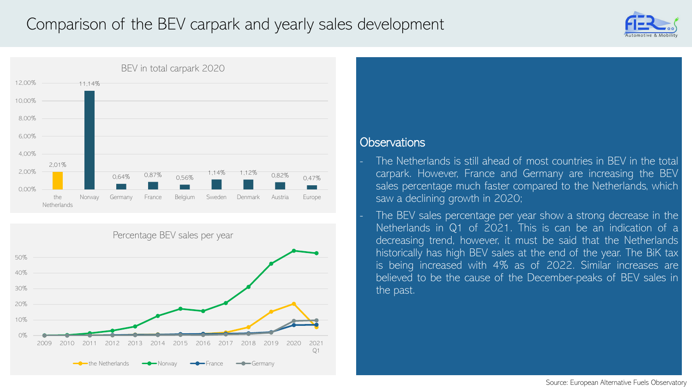## Comparison of the BEV carpark and yearly sales development





Percentage BEV sales per year



### **Observations**

- The Netherlands is still ahead of most countries in BFV in the total carpark. However, France and Germany are increasing the BEV sales percentage much faster compared to the Netherlands, which saw a declining growth in 2020;
- The BEV sales percentage per year show a strong decrease in the Netherlands in Q1 of 2021. This is can be an indication of a decreasing trend, however, it must be said that the Netherlands historically has high BEV sales at the end of the year. The BiK tax is being increased with 4% as of 2022. Similar increases are believed to be the cause of the December-peaks of BEV sales in the past.

Source: European Alternative Fuels Observatory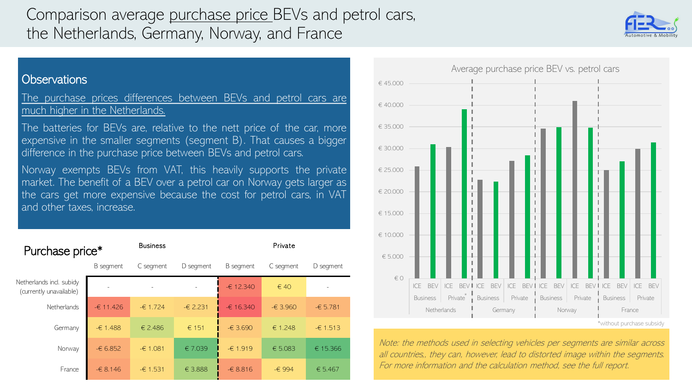## Comparison average purchase price BEVs and petrol cars, the Netherlands, Germany, Norway, and France



### **Observations**

#### The purchase prices differences between BEVs and petrol cars are much higher in the Netherlands.

The batteries for BEVs are, relative to the nett price of the car, more expensive in the smaller segments (segment B). That causes a bigger difference in the purchase price between BEVs and petrol cars.

Norway exempts BEVs from VAT, this heavily supports the private market. The benefit of a BEV over a petrol car on Norway gets larger as the cars get more expensive because the cost for petrol cars, in VAT and other taxes, increase.

| Purchase price*                                     |                          | <b>Business</b> |           | Private          |               |           |
|-----------------------------------------------------|--------------------------|-----------------|-----------|------------------|---------------|-----------|
|                                                     | <b>B</b> segment         | C segment       | D segment | <b>B</b> segment | C segment     | D segment |
| Netherlands incl. subidy<br>(currently unavailable) | $\overline{\phantom{a}}$ |                 |           | $-612.340$       | $\epsilon$ 40 |           |
| <b>Netherlands</b>                                  | $-6.11.426$              | $-6.1.724$      | $-62.231$ | $-6.340$         | $-63.960$     | $-65.781$ |
| Germany                                             | $-61.488$                | € 2.486         | € 151     | $-63.690$        | € 1.248       | $-61.513$ |
| Norway                                              | $-6.852$                 | $-61.081$       | € 7.039   | $-61.919$        | € 5.083       | € 15.366  |
| France                                              | $-68.146$                | $-61.531$       | € 3.888   | $-68.816$        | $-6994$       | € 5.467   |



Note: the methods used in selecting vehicles per segments are similar across all countries,, they can, however, lead to distorted image within the segments. For more information and the calculation method, see the full report.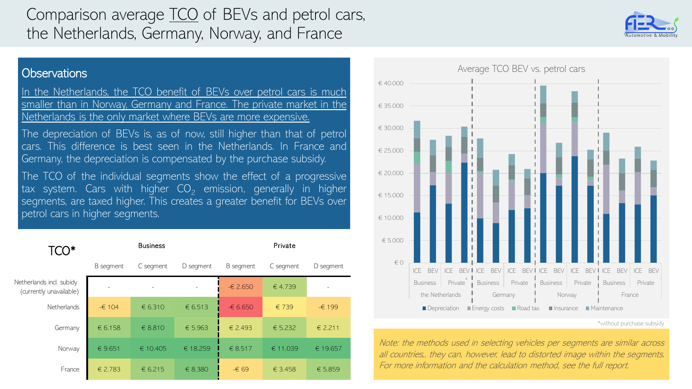## Comparison average **TCO** of BEVs and petrol cars, the Netherlands, Germany, Norway, and France



### **Observations**

In the Netherlands, the TCO benefit of BEVs over petrol cars is much smaller than in Norway, Germany and France. The private market in the Netherlands is the only market where BEVs are more expensive.

The depreciation of BEVs is, as of now, still higher than that of petrol cars. This difference is best seen in the Netherlands. In France and Germany, the depreciation is compensated by the purchase subsidy.

The TCO of the individual segments show the effect of a progressive tax system. Cars with higher CO $_2$  emission, generally in higher segments, are taxed higher. This creates a greater benefit for BEVs over petrol cars in higher segments.

| TCO <sup>*</sup>                                    |           | <b>Business</b> |           | Private          |           |             |
|-----------------------------------------------------|-----------|-----------------|-----------|------------------|-----------|-------------|
|                                                     | B segment | C segment       | D segment | <b>B</b> segment | C segment | D segment   |
| Netherlands incl. subidy<br>(currently unavailable) |           |                 |           | $-62.650$        | € 4.739   |             |
| <b>Netherlands</b>                                  | $-6104$   | € 6.310         | € 6.513   | $-6.650$         | € 739     | -€ 199      |
| Germany                                             | € 6.158   | € $8.810$       | € 5.963   | € 2.493          | € 5.232   | $\in$ 2.211 |
| Norway                                              | € 9.651   | € 10.405        | € 18.259  | € 8.517          | € 11.039  | € 19.657    |
| France                                              | € 2.783   | € 6.215         | $E$ 8.380 | $-669$           | € 3.458   | € 5.859     |



<sup>\*</sup>without purchase subsidy

Note: the methods used in selecting vehicles per segments are similar across all countries,, they can, however, lead to distorted image within the segments. For more information and the calculation method, see the full report.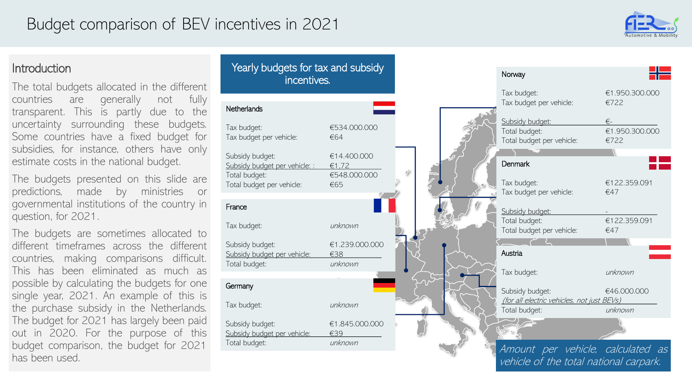

### **Introduction**

The total budgets allocated in the different countries are generally not fully transparent. This is partly due to the uncertainty surrounding these budgets. Some countries have a fixed budget for subsidies, for instance, others have only estimate costs in the national budget.

The budgets presented on this slide are predictions, made by ministries or governmental institutions of the country in question, for 2021.

The budgets are sometimes allocated to different timeframes across the different countries, making comparisons difficult. This has been eliminated as much as possible by calculating the budgets for one single year, 2021. An example of this is the purchase subsidy in the Netherlands. The budget for 2021 has largely been paid out in 2020. For the purpose of this budget comparison, the budget for 2021 has been used.

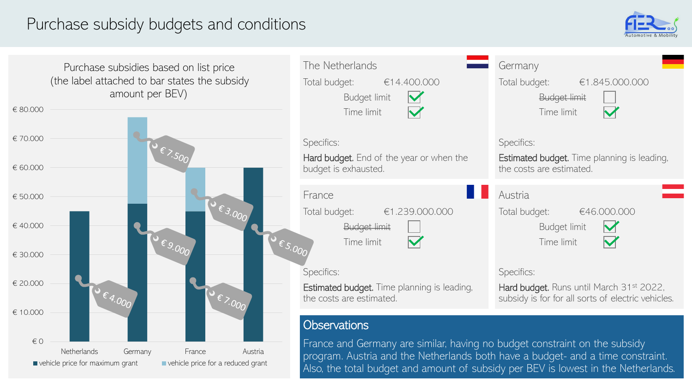## Purchase subsidy budgets and conditions



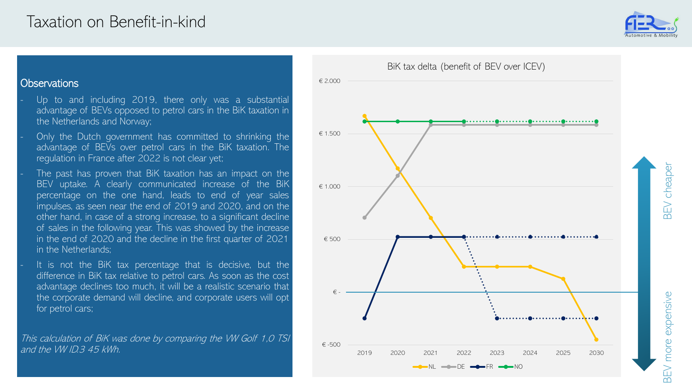

### **Observations**

- Up to and including 2019, there only was a substantial advantage of BEVs opposed to petrol cars in the BiK taxation in the Netherlands and Norway;
	- Only the Dutch government has committed to shrinking the advantage of BEVs over petrol cars in the BiK taxation. The regulation in France after 2022 is not clear yet;
	- The past has proven that BiK taxation has an impact on the BEV uptake. A clearly communicated increase of the BiK percentage on the one hand, leads to end of year sales impulses, as seen near the end of 2019 and 2020, and on the other hand, in case of a strong increase, to a significant decline of sales in the following year. This was showed by the increase in the end of 2020 and the decline in the first quarter of 2021 in the Netherlands;
- It is not the BiK tax percentage that is decisive, but the difference in BiK tax relative to petrol cars. As soon as the cost advantage declines too much, it will be a realistic scenario that the corporate demand will decline, and corporate users will opt for petrol cars;

This calculation of BiK was done by comparing the VW Golf 1 , 0 TSI

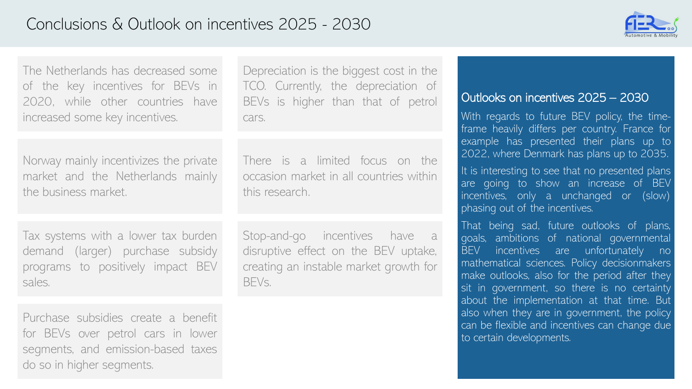

The Netherlands has decreased some of the key incentives for BEVs in 2020, while other countries have increased some key incentives.

Norway mainly incentivizes the private market and the Netherlands mainly the business market.

Tax systems with a lower tax burden demand (larger) purchase subsidy programs to positively impact BEV sales.

Depreciation is the biggest cost in the TCO. Currently, the depreciation of BEVs is higher than that of petrol cars.

There is a limited focus on the occasion market in all countries within this research.

Stop-and-go incentives have a disruptive effect on the BEV uptake, creating an instable market growth for BEVs.

### Outlooks on incentives 2025 – 2030

With regards to future BEV policy, the timeframe heavily differs per country. France for example has presented their plans up to 2022, where Denmark has plans up to 2035.

It is interesting to see that no presented plans are going to show an increase of BEV incentives, only a unchanged or (slow) phasing out of the incentives.

That being sad, future outlooks of plans, goals, ambitions of national governmental BEV incentives are unfortunately no mathematical sciences. Policy decisionmakers make outlooks, also for the period after they sit in government, so there is no certainty about the implementation at that time. But also when they are in government, the policy can be flexible and incentives can change due to certain developments.

Purchase subsidies create a benefit for BEVs over petrol cars in lower segments, and emission-based taxes do so in higher segments.